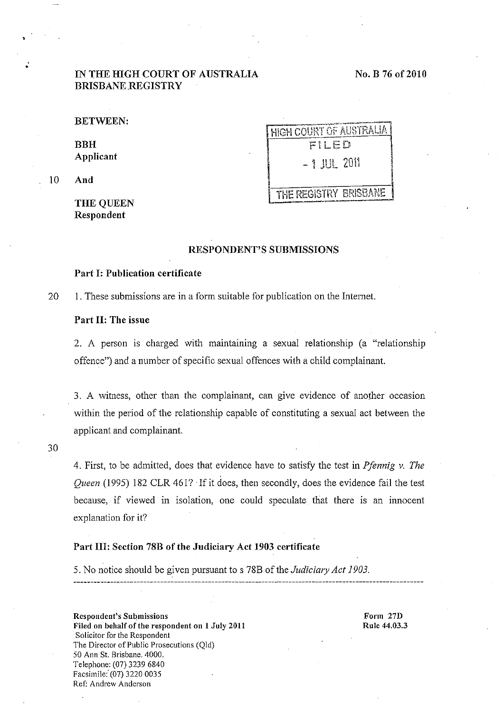# IN THE HIGH COURT OF AUSTRALIA BRISBANE REGISTRY

BETWEEN:

BBH Applicant

10 And

,

" •

THE QUEEN Respondent

HIGH COURT OF AUSTRALIA  $-1$  JUL 2011

THE REGISTRY BRISBANE

# RESPONDENT'S SUBMISSIONS

## Part I: Publication certificate

20 1. These submissions are in a form suitable for publication on the Internet.

## Part II: The issue

2. A person is charged with maintaining a sexual relationship (a "relationship") offence") and a number of specific sexual offences with a child complainant.

3. A witness, other than the complainant, can give evidence of another occasion within the period of the relationship capable of constituting a sexual act between the applicant and complainant.

30

4. First, to be admitted, does that evidence have to satisfy the test in *Pfennig v. The Queen* (1995) 182 CLR 461? If it does, then secondly, does the evidence fail the test because, if viewed in isolation, one could speculate that there is an innocent explanation for it?

#### Part Ill: Section 78B of the Judiciary Act 1903 certificate

5. No notice should be given pursuant to s 78B of the *Judiciary Act 1903.* 

**Respondent's Submissions**  Filed on behalf of the respondent on 1 July 2011 Solicitor for the Respondent The Director of Public Prosecutions (Qld) 50 Ann St. Brisbane. 4000. Telephone: (07) 3239 6840 Facsimile: (07) 3220 0035 Ref: Andrew Anderson

Form 27D Rule 44.03.3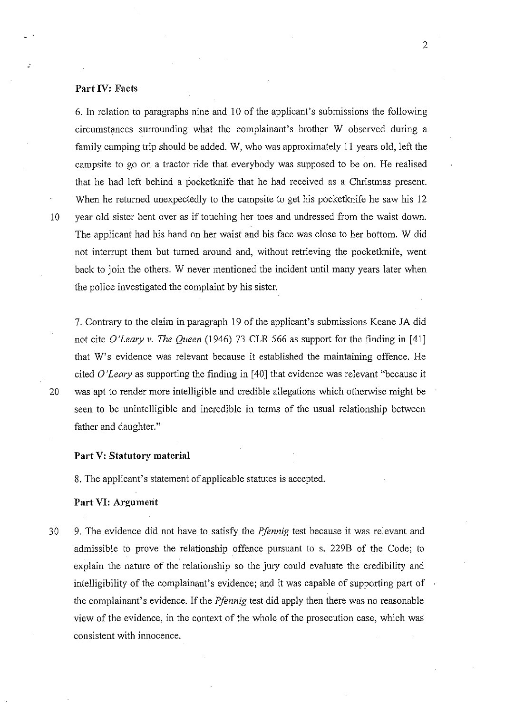### **Part IV: Facts**

6. In relation to paragraphs nine and 10 of the applicant's submissions the following circumstances surrounding what the complainant's brother W observed during a family camping trip should be added. W, who was approximately **11** years old, left the campsite to go on a tractor ride that everybody was supposed to be on. He realised that he had left behind a pocketknife that he had received as a Christmas present. When he returned unexpectedly to the campsite to get his pocketknife he saw his 12 10 year old sister bent over as if touching her toes and undressed from the waist down. The applicant had his hand on her waist and his face was close to her bottom. W did not interrupt them but turned around and, without retrieving the pocketknife, went back to join the others. W never mentioned the incident until many years later when the police investigated the complaint by his sister.

7. Contrary to the claim in paragraph 19 of the applicant's submissions Keane *lA* did not cite *O'Leary v. The Queen* (1946) 73 CLR 566 as support for the finding in [41] that W's evidence was relevant because it established the maintaining offence. He cited 0 *'Leary* as supporting the finding in [40] that evidence was relevant "because it 20 was apt to render more intelligible and credible allegations which otherwise might be seen to be unintelligible and incredible in terms of the usual relationship between father and daughter."

### **Part** V: **Statutory material**

8. The applicant's statement of applicable statutes is accepted.

# **Part VI: Argument**

30 9. The evidence did not have to satisfy the *Pfennig* test because it was relevant and admissible to prove the relationship offence pursuant to s. 229B of the Code; to explain the nature of the relationship so the jury could evaluate the credibility and intelligibility of the complainant's evidence; and it was capable of supporting part of the complainant's evidence. If the *Pfennig* test did apply then there was no reasonable view of the evidence, in the context of the whole of the prosecution case, which was consistent with innocence.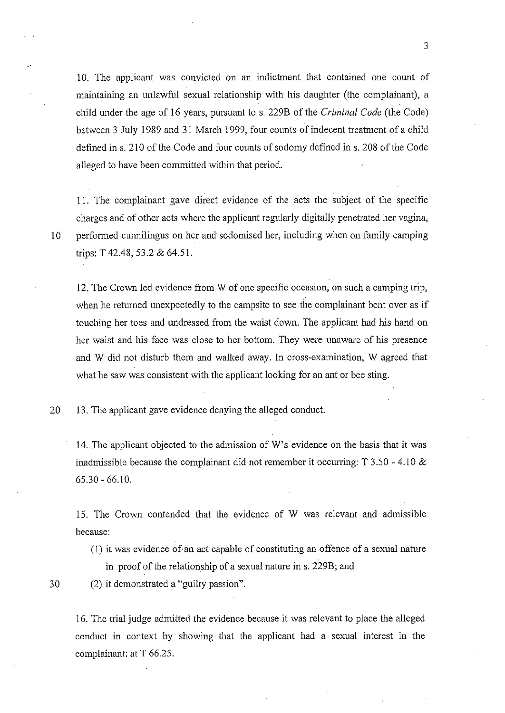10. The applicant was convicted on an indictment that contained one count of maintaining an unlawful sexual relationship with his daughter (the complainant), a child under the age of 16 years, pursuant to s. 229B of the *Criminal Code* (the Code) between 3 July 1989 and 31 March 1999, four counts of indecent treatment of a child defined in s. 210 of the Code and four counts of sodomy defined in s. 208 of the Code alleged to have been committed within that period.

3

11. The complainant gave direct evidence of the acts the subject of the specific charges and of other acts where the applicant regularly digitally penetrated her vagina, 10 performed cunnilingus on her and sodomised her, including when on family camping trips: T 42.48,53.2 & 64.51.

12. The Crown led evidence from W of one specific occasion, on such a camping trip, when he returned unexpectedly to the campsite to see the complainant bent over as if touching her toes and undressed from the waist down. The applicant had his hand on her waist and his face was close to her bottom. They were unaware of his presence and W did not disturb them and walked away. In cross-examination, W agreed that what he saw was consistent with the applicant looking for an ant or bee sting.

20 13. The applicant gave evidence denying the alleged conduct.

14. The applicant objected to the admission of W's evidence on the basis that it was inadmissible because the complainant did not remember it occurring:  $T$  3.50 - 4.10  $\&$ 65.30 - 66.10.

15. The Crown contended that the evidence of W was relevant and admissible because:

(l) it was evidence of an act capable of constituting an offence of a sexual nature in proof of the relationship of a sexual nature in s. 229B; and

30 (2) it demonstrated a "guilty passion".

16. The trial judge admitted the evidence because it was relevant to place the alleged conduct in context by showing that the applicant had a sexual interest in the complainant: at T 66.25.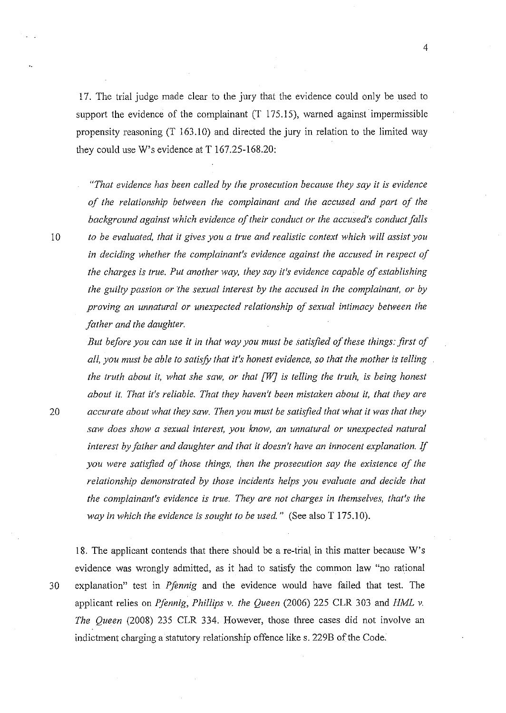17. The trial judge made clear to the jury that the evidence could only be used to support the evidence of the complainant (T 175.15), warned against impermissible propensity reasoning (T 163.10) and directed the jury in relation to the limited way they could use W's evidence at T 167.25-168.20:

*"That evidence has been called by the prosecution because they say* it *is evidence of the relationship between the complainant and the accused and part of the background against which evidence of their conduct or the accused's conduct falls*  10 *to be evaluated, that it gives you a true and realistic context which will assist you in deciding whether the complainant's evidence against the accused in respect of the charges is true. Put another way, they say it's evidence capable of establishing the guilty passion or the sexual interest by the accused in the complainant, or by proving an unnatural or unexpected relationship of sexual intimacy between the father and the daughter.* 

*But before you can use* it *in that way you must be satisfied of these things: first of all, you must be able to satisfy that it's honest evidence, so that the mother is telling the truth about it, what she saw, or that [W} is telling the truth, is being honest about it. That it's reliable. That they haven't been mistaken about it, that they are 20 accurate about what they saw. Then you must be satisfied that what it was that they saw does show a sexual interest, you know, an unnatural or unexpected natural interest by father and daughter and that it doesn't have an innocent explanation.* If *you were satisfied of those things, then the prosecution say the existence of the relationship demonstrated by those incidents helps you evaluate and decide that the complainant's evidence* is *true. They are not charges in themselves, that's the way in which the evidence is sought to be used."* (See also T 175.10).

18. The applicant contends that there should be a re-trial in this matter because W's evidence was wrongly admitted, as it had to satisfy the common law "no rational 30 explanation" test in *Pfennig* and the evidence would have failed that test. The applicant relies on *Pfennig, Phillips* v. *the Queen* (2006) 225 CLR 303 and *HML* v. *The Queen* (2008) 235 CLR 334. However, those three cases did not involve an indictment charging a statutory relationship offence like s. 229B of the Code: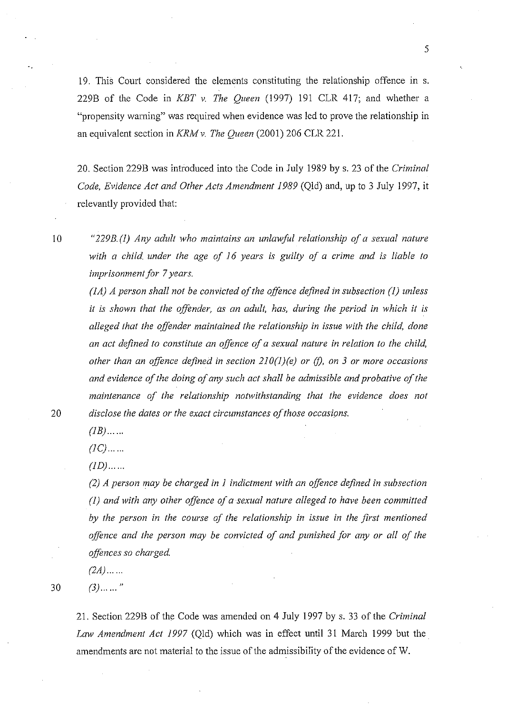19. This Court considered the elements constituting the relationship offence in s. 229B of the Code in *KBT* v. *The Queen* (1997) 191 CLR 417; and whether a "propensity warning" was required when evidence was led to prove the relationship in an equivalent section in *KRM* v. *The Queen* (2001) 206 CLR 221.

20. Section 229B was introduced into the Code in July 1989 by s. 23 of the *Criminal Code, Evidence Act and Other Acts Amendment* 1989 (Qld) and, up to 3 July 1997, it relevantly provided that:

10 *"229B.* (1) *Any adult who maintains an unlawful relationship of a sexual nature with a child under the age of* 16 *years is guilty of a crime and is liable to imprisonment for* 7 *years.* 

*(lA) A person shall not be convicted of the offence defined in subsection* (1) *unless it is shown that the offender, as an adult, has, during the period in which it is alleged that the offender maintained the relationship in issue with the child, done an act defined to constitute an offence of a sexual nature in relation to the child, other than an offence defined in section 210(l)(e) or (f), on* 3 *or more occasions and evidence of the doing of any such act shall be admissible and probative of the maintenance of the relationship notwithstanding that the evidence does not 20 disclose the dates or the exact circumstances of those occasions.* 

 $(1B)$ ......

 $(IC)$ .......

 $(1D)$ ...  $...$ 

*(2) A person may be charged in* 1 *indictment with an offence defined in subsection (1) and with any other offence of a sexual nature alleged to have been committed by the person in the course of the relationship in issue in the first mentioned offence and the person may be convicted of and punished for any or all of the offences so charged.* 

*(2A) ...* .. .

 $30 \t(3)$  ......"

21. Section 229B of the Code was amended on 4 July 1997 by s. 33 of the *Criminal Law Amendment Act* 1997 (Qld) which was in effect until 31 March 1999 but the amendments are not material to the issue of the admissibility of the evidence of W.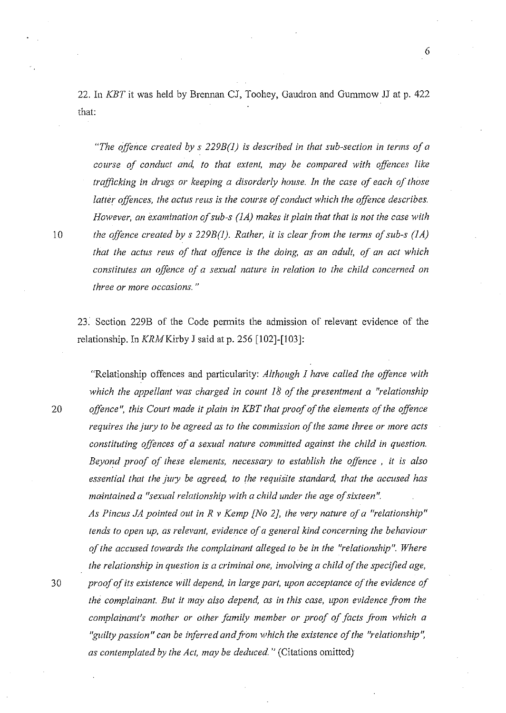22. In *KBT* it was held by Brennan CJ, Toohey, Gaudron and Gummow JJ at p. 422 that:

6

*"The offence created by* s *229B(l) is described in that sub-section in terms of a course of conduct and, to that extent, may be compared with offences like trafficking in drugs or keeping a disorderly house. In the case of each of those latter offences, the actus reus* is *the course of conduct which the offence describes. However, an examination of sub-s (1A) makes it plain that that is not the case with 10 the offence created by* s *229B(l). Rather, it* is *clear from the terms of sub-s (lA) that the actus reus of that offence is the doing, as an adult, of an act which constitutes an offence of a sexual nature in relation to the child concerned on three or more occasions. "* 

23. Section 229B of the Code permits the admission of relevant evidence of the relationship. In *KRMKirby* J said at p. 256 [102]-[103]:

"Relationship offences and particularity: *Although* 1 *have called the offence with which the appellant was charged in count 18 of the presentment a "relationship 20 offence* ", *this Court made it plain in KBT that proof of the elements of the offence requires the jury to be agreed as to the commission of the same three or more acts constituting offences of a sexual nature committed against the child in question. Beyond proof of these elements, necessary to establish the offence* , *it is also*  essential that the jury be agreed, to the requisite standard, that the accused has *maintained a "sexual relationship with a child under the age of sixteen". As Pincus JA pointed out in R* v *Kemp [No 2J, the very nature of a "relationship" tends to open up, as relevant, evidence of a general kind concerning the behaviour* 

*of the accused towards the complainant alleged to be in the "relationship". Where the relationship in question is a criminal one, involving a child of the specified age,* 

*30 proof of its existence will depend, in large part, upon acceptance of the evidence of the complainant. But it may also depend, as in this case, upon evidence from the complainant's mother or other family member or proof of facts from which a*  "guilty passion" can be inferred and from which the existence of the "relationship", *as contemplated by the Act, may be deduced.* " (Citations omitted)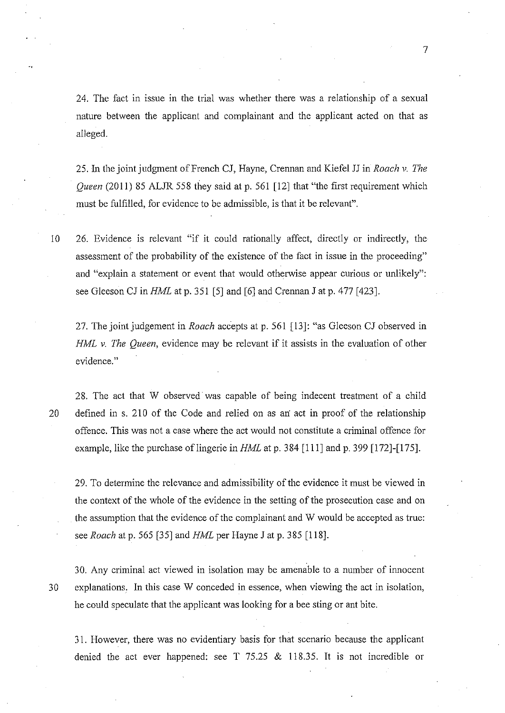24. The fact in issue in the trial was whether there was a relationship of a sexual nature between the applicant and complainant and the applicant acted on that as alleged.

25. In the joint judgment of French CJ, Hayne, Crennan and Kiefel JJ in *Roach* v. *The Queen* (2011) 85 ALJR 558 they said at p. 561 [12] that "the first requirement which must be fulfilled, for evidence to be admissible, is that it be relevant".

10 26. Evidence is relevant "if it could rationally affect, directly or indirectly, the assessment of the probability of the existence of the fact in issue in the proceeding" and "explain a statement or event that would otherwise appear curious or unlikely": see Gleeson CJ in *HML* at p. 351 [5] and [6] and Crennan J at p. 477 [423].

27. The joint judgement in *Roach* accepts at p. 561 [13]: "as Gleeson CJ observed in *HML v. The Queen,* evidence may be relevant if it assists in the evaluation of other evidence."

28. The act that W observed' was capable of being indecent treatment of a child 20 defined in s. 210 of the Code and relied on as an act in proof of the relationship offence. This was not a case where the act would not constitute a criminal offence for example, like the purchase of lingerie in *HML* at p. 384 [111] and p. 399 [172]-[175].

29. To determine the relevance and admissibility of the evidence it must be viewed in the context of the whole of the evidence in the setting of the prosecution case and on the assumption that the evidence of the complainant and W would be accepted as true: see *Roach* at p. 565 [35] and *HML* per Hayne J at p. 385 [118].

30. Any criminal act viewed in isolation may be amenable to a number of innocent 30 explanations, In this case W conceded in essence, when viewing the act in isolation, he could speculate that the applicant was looking for a bee sting or ant bite.

31. However, there was no evidentiary basis for that scenario because the applicant denied the act ever happened: see T 75.25 & 118.35. It is not incredible or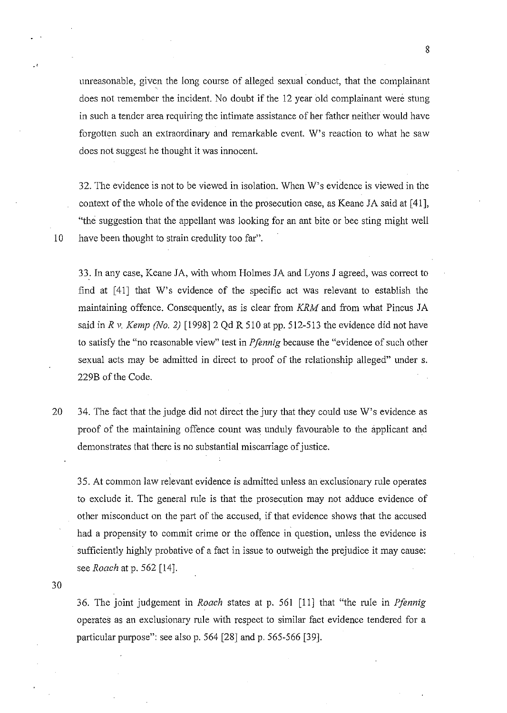unreasonable, given the long course of alleged sexual conduct, that the complainant does not remember the incident. No doubt if the 12 year old complainant were stung in such a tender area requiring the intimate assistance of her father neither would have forgotten such an extraordinary and remarkable event. W's reaction to what he saw does not suggest he thought it was innocent

32. The evidence is not to be viewed in isolation. When W's evidence is viewed in the context of the whole of the evidence in the prosecution case, as Keane JA said at [41], "the suggestion that the appellant was looking for an ant bite or bee sting might well 10 have been thought to strain credulity too far".

33. In any case, Keane JA, with whom Holmes JA and Lyons J agreed, was correct to find at [41] that W's evidence of the specific act was relevant to establish the maintaining offence. Consequently, as is clear from *KRM* and from what Pincus JA said in  $Rv$ . Kemp (No. 2) [1998] 2 Qd R 510 at pp. 512-513 the evidence did not have to satisfy the "no reasonable view" test in *Pfennig* because the "evidence of such other sexual acts may be admitted in direct to proof of the relationship alleged" under s. 229B of the Code.

20 34. The fact that the judge did not direct the jury that they could use W's evidence as proof of the maintaining offence count was unduly favourable to the applicant and demonstrates that there is no substantial miscarriage of justice.

35. At common law relevant evidence is admitted unless an exclusionary rule operates to exclude it The general rule is that the prosecution may not adduce evidence of other misconduct on the part of the accused, if that evidence shows that the accused had a propensity to commit crime or the offence in question, unless the evidence is sufficiently highly probative of a fact in issue to outweigh the prejudice it may cause: see *Roach* at p. 562 [14].

30

.'

36. The joint judgement in *Roach* states at p. 561 [11] that "the rule in *Pfennig*  operates as an exclusionary rule with respect to similar fact evidence tendered for a particular purpose": see also p. 564 [28] and p. 565-566 [39].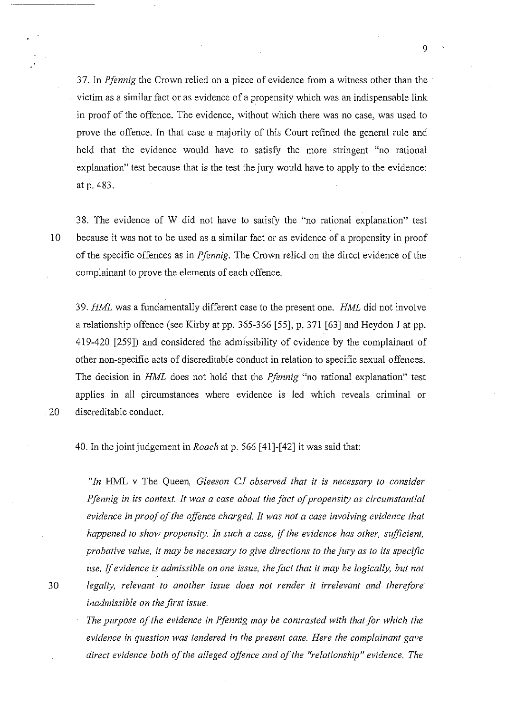37. In *Pfennig* the Crown relied on a piece of evidence from a witness other than the victim as a similar fact or as evidence of a propensity which was an indispensable link **in** proof of the offence. The evidence, without which there was no case, was used to prove the offence. In that case a majority of this Court refined the general rule and held that the evidence would have to satisfy the more stringent "no rational explanation" test because that is the test the jury would have to apply to the evidence: at p. 483.

38. The evidence of W did not have to satisfy the "no rational explanation" test 10 because it was not to be used as a similar fact or as evidence of a propensity **in** proof of the specific offences as **in** *Pfennig.* The Crown relied on the direct evidence of the complainant to prove the elements of each offence.

*39. HML* was a fundamentally different case to the present one. *HML* did not involve a relationship offence (see Kirby at pp. 365-366 [55], p. 371 [63] and Heydon J at pp. 419-420 [259]) and considered the admissibility of evidence by the complainant of other non-specific acts of discreditable conduct **in** relation to specific sexual offences. The decision **in** *HML* does not hold that the *Pfennig* "no rational explanation" test applies **in** all circumstances where evidence is led which reveals criminal or 20 discreditable conduct.

40. In the joint jUdgement in *Roach* at p. 566 [41]-[42] it was said that:

*"In* HML v The Queen, *Gleeson CJ observed that it is necessary to consider Pfennig in its context. It was a case about the fact of propensity as circumstantial*  evidence in proof of the offence charged. It was not a case involving evidence that *happened to show propensity. In such a case,* if *the evidence has other, sufficient, probative value,* it *may be necessary to give directions to the jury as to its specific use.* If *evidence* is *admissible on one issue, the fact that* it *may be logically, but not 30 legally, relevant to another issue does not render* it *irrelevant and therefore inadmissible on the first issue.* 

> *The purpose of the evidence in Pfennig may be contrasted with that for which the evidence in question was tendered in the present case. Here the complainant gave direct evidence both of the alleged offence and of the "relationship" evidence. The*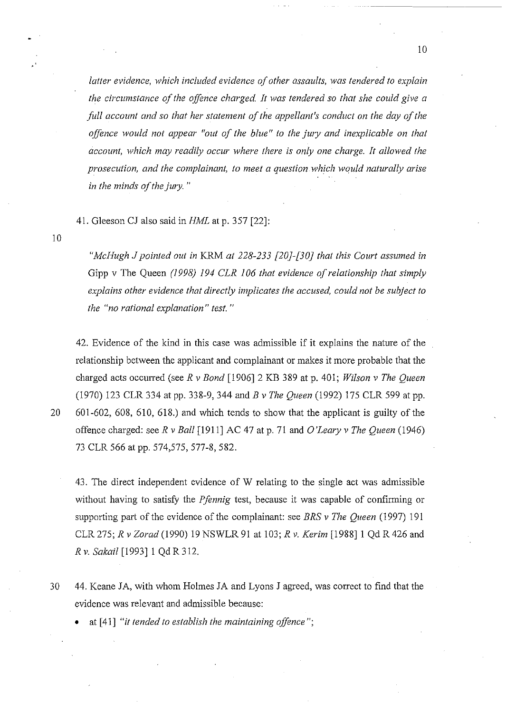*latter evidence, which included evidence of other assaults, was tendered to explain the circumstance of the offence charged It was tendered* so *that she could give a full account and so that her statement of the appellant's conduct on the day of the offence would not appear "out of the blue" to the jury and inexplicable on that account, which may readily occur where there is only one charge. It allowed the prosecution, and the complainant, to meet a question ·which would naturally arise in the minds of the jury. "* 

41. Gleeson CJ also said in *HML* at p. 357 [22]:

10

*"McHugh* J *pointed out in* KRM *at* 228-233 *[20j-[30j that this Court assumed in*  Gipp v The Queen (1998) 194 *CLR 106 that evidence of relationship that simply explains other evidence that directly implicates the accused, could not be subject to the "no rational explanation" test. "* 

42. Evidence of the kind in this case was admissible if it explains the nature of the relationship between the applicant and complainant or makes it more probable that the charged acts occuned (see *R* v *Bond* [1906]2 KB 389 at p. 401; *Wilson* v *The Queen*  (1970) 123 CLR 334 at pp. 338-9, 344 and *B* v *The Queen* (1992) 175 CLR 599 at pp. 20 601-602, 608, 610, 618.) and which tends to show that the applicant is guilty of the offence charged: see *R* v *Ball* [1911] AC 47 at p. 71 and *O'Leary* v *The Queen (1946)*  73 CLR 566 at pp. 574,575, 577-8, 582.

43. The direct independent evidence of W relating to the single act was admissible without having to satisfy the *Pfennig* test, because it was capable of confirming or supporting part of the evidence of the complainant: see *BRS* v *The Queen* (1997) 191 CLR275; *R vZorad(1990)* 19 NSWLR91 at 103; *R* v. *Kerim* [1988]1 QdR426 and *Rv. Sakail* [1993]1 Qd R 312.

30 44. Keane JA, with whom Holmes JA and Lyons J agreed, was correct to find that the evidence was relevant and admissible because:

• at [41] "it *tended to establish the maintaining offence";*